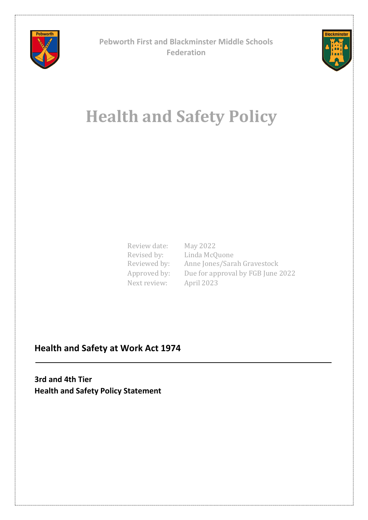

**Pebworth First and Blackminster Middle Schools Federation**



# **Health and Safety Policy**

Review date: May 2022 Revised by: Next review: April 2023

Linda McQuone Revised by: Elinda McQdone<br>Reviewed by: Anne Jones/Sarah Gravestock Approved by: Due for approval by FGB June 2022

# **Health and Safety at Work Act 1974**

**3rd and 4th Tier Health and Safety Policy Statement**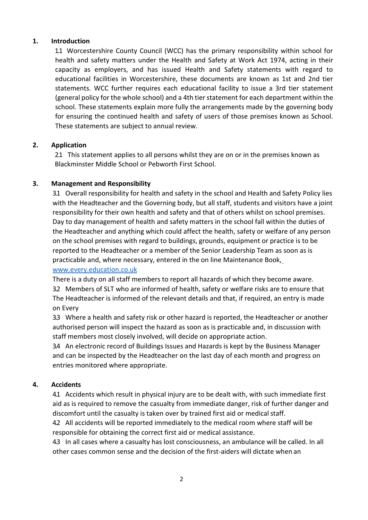# **1. Introduction**

1.1 Worcestershire County Council (WCC) has the primary responsibility within school for health and safety matters under the Health and Safety at Work Act 1974, acting in their capacity as employers, and has issued Health and Safety statements with regard to educational facilities in Worcestershire, these documents are known as 1st and 2nd tier statements. WCC further requires each educational facility to issue a 3rd tier statement (general policy for the whole school) and a 4th tier statement for each department within the school. These statements explain more fully the arrangements made by the governing body for ensuring the continued health and safety of users of those premises known as School. These statements are subject to annual review.

# **2. Application**

2.1 This statement applies to all persons whilst they are on or in the premises known as Blackminster Middle School or Pebworth First School.

# **3. Management and Responsibility**

3.1 Overall responsibility for health and safety in the school and Health and Safety Policy lies with the Headteacher and the Governing body, but all staff, students and visitors have a joint responsibility for their own health and safety and that of others whilst on school premises. Day to day management of health and safety matters in the school fall within the duties of the Headteacher and anything which could affect the health, safety or welfare of any person on the school premises with regard to buildings, grounds, equipment or practice is to be reported to the Headteacher or a member of the Senior Leadership Team as soon as is practicable and, where necessary, entered in the on line Maintenance Book,

# [www.every.education.co.uk](http://www.every.education.co.uk/)

There is a duty on all staff members to report all hazards of which they become aware.

3.2 Members of SLT who are informed of health, safety or welfare risks are to ensure that The Headteacher is informed of the relevant details and that, if required, an entry is made on Every

3.3 Where a health and safety risk or other hazard is reported, the Headteacher or another authorised person will inspect the hazard as soon as is practicable and, in discussion with staff members most closely involved, will decide on appropriate action.

3.4 An electronic record of Buildings Issues and Hazards is kept by the Business Manager and can be inspected by the Headteacher on the last day of each month and progress on entries monitored where appropriate.

# **4. Accidents**

4.1 Accidents which result in physical injury are to be dealt with, with such immediate first aid as is required to remove the casualty from immediate danger, risk of further danger and discomfort until the casualty is taken over by trained first aid or medical staff.

4.2 All accidents will be reported immediately to the medical room where staff will be responsible for obtaining the correct first aid or medical assistance.

4.3 In all cases where a casualty has lost consciousness, an ambulance will be called. In all other cases common sense and the decision of the first-aiders will dictate when an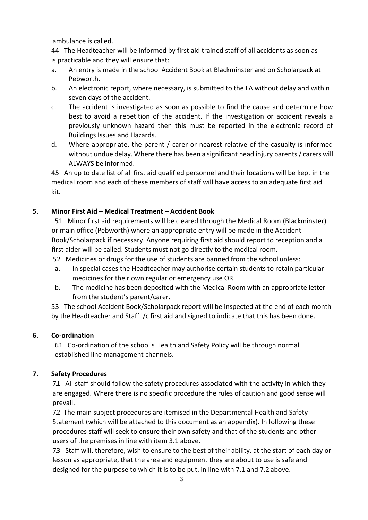ambulance is called.

4.4 The Headteacher will be informed by first aid trained staff of all accidents as soon as is practicable and they will ensure that:

- a. An entry is made in the school Accident Book at Blackminster and on Scholarpack at Pebworth.
- b. An electronic report, where necessary, is submitted to the LA without delay and within seven days of the accident.
- c. The accident is investigated as soon as possible to find the cause and determine how best to avoid a repetition of the accident. If the investigation or accident reveals a previously unknown hazard then this must be reported in the electronic record of Buildings Issues and Hazards.
- d. Where appropriate, the parent / carer or nearest relative of the casualty is informed without undue delay. Where there has been a significant head injury parents/ carers will ALWAYS be informed.

4.5 An up to date list of all first aid qualified personnel and their locations will be kept in the medical room and each of these members of staff will have access to an adequate first aid kit.

# **5. Minor First Aid – Medical Treatment – Accident Book**

5.1 Minor first aid requirements will be cleared through the Medical Room (Blackminster) or main office (Pebworth) where an appropriate entry will be made in the Accident Book/Scholarpack if necessary. Anyone requiring first aid should report to reception and a first aider will be called. Students must not go directly to the medical room.

5.2 Medicines or drugs for the use of students are banned from the school unless:

- a. In special cases the Headteacher may authorise certain students to retain particular medicines for their own regular or emergency use OR
- b. The medicine has been deposited with the Medical Room with an appropriate letter from the student's parent/carer.

5.3 The school Accident Book/Scholarpack report will be inspected at the end of each month by the Headteacher and Staff i/c first aid and signed to indicate that this has been done.

# **6. Co-ordination**

6.1 Co-ordination of the school's Health and Safety Policy will be through normal established line management channels.

# **7. Safety Procedures**

7.1 All staff should follow the safety procedures associated with the activity in which they are engaged. Where there is no specific procedure the rules of caution and good sense will prevail.

7.2 The main subject procedures are itemised in the Departmental Health and Safety Statement (which will be attached to this document as an appendix). In following these procedures staff will seek to ensure their own safety and that of the students and other users of the premises in line with item 3.1 above.

7.3 Staff will, therefore, wish to ensure to the best of their ability, at the start of each day or lesson as appropriate, that the area and equipment they are about to use is safe and designed for the purpose to which it is to be put, in line with 7.1 and 7.2 above.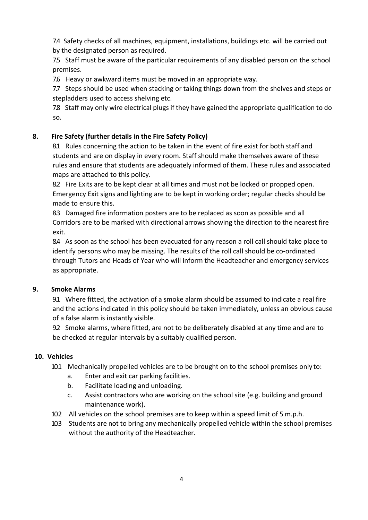7.4 Safety checks of all machines, equipment, installations, buildings etc. will be carried out by the designated person as required.

7.5 Staff must be aware of the particular requirements of any disabled person on the school premises.

7.6 Heavy or awkward items must be moved in an appropriate way.

7.7 Steps should be used when stacking or taking things down from the shelves and steps or stepladders used to access shelving etc.

7.8 Staff may only wire electrical plugs if they have gained the appropriate qualification to do so.

# **8. Fire Safety (further details in the Fire Safety Policy)**

8.1 Rules concerning the action to be taken in the event of fire exist for both staff and students and are on display in every room. Staff should make themselves aware of these rules and ensure that students are adequately informed of them. These rules and associated maps are attached to this policy.

8.2 Fire Exits are to be kept clear at all times and must not be locked or propped open. Emergency Exit signs and lighting are to be kept in working order; regular checks should be made to ensure this.

8.3 Damaged fire information posters are to be replaced as soon as possible and all Corridors are to be marked with directional arrows showing the direction to the nearest fire exit.

8.4 As soon as the school has been evacuated for any reason a roll call should take place to identify persons who may be missing. The results of the roll call should be co-ordinated through Tutors and Heads of Year who will inform the Headteacher and emergency services as appropriate.

# **9. Smoke Alarms**

9.1 Where fitted, the activation of a smoke alarm should be assumed to indicate a real fire and the actions indicated in this policy should be taken immediately, unless an obvious cause of a false alarm is instantly visible.

9.2 Smoke alarms, where fitted, are not to be deliberately disabled at any time and are to be checked at regular intervals by a suitably qualified person.

# **10. Vehicles**

- 10.1 Mechanically propelled vehicles are to be brought on to the school premises only to:
	- a. Enter and exit car parking facilities.
	- b. Facilitate loading and unloading.
	- c. Assist contractors who are working on the school site (e.g. building and ground maintenance work).
- 10.2 All vehicles on the school premises are to keep within a speed limit of 5 m.p.h.
- 10.3 Students are not to bring any mechanically propelled vehicle within the school premises without the authority of the Headteacher.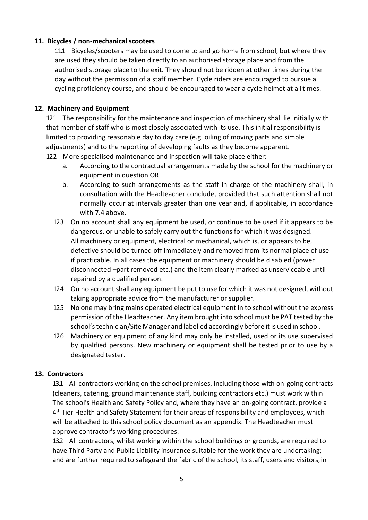# **11. Bicycles / non-mechanical scooters**

11.1 Bicycles/scooters may be used to come to and go home from school, but where they are used they should be taken directly to an authorised storage place and from the authorised storage place to the exit. They should not be ridden at other times during the day without the permission of a staff member. Cycle riders are encouraged to pursue a cycling proficiency course, and should be encouraged to wear a cycle helmet at alltimes.

# **12. Machinery and Equipment**

12.1 The responsibility for the maintenance and inspection of machinery shall lie initially with that member of staff who is most closely associated with its use. This initial responsibility is limited to providing reasonable day to day care (e.g. oiling of moving parts and simple adjustments) and to the reporting of developing faults as they become apparent.

- 12.2 More specialised maintenance and inspection will take place either:
	- a. According to the contractual arrangements made by the school for the machinery or equipment in question OR
	- b. According to such arrangements as the staff in charge of the machinery shall, in consultation with the Headteacher conclude, provided that such attention shall not normally occur at intervals greater than one year and, if applicable, in accordance with 7.4 above.
	- 12.3 On no account shall any equipment be used, or continue to be used if it appears to be dangerous, or unable to safely carry out the functions for which it was designed. All machinery or equipment, electrical or mechanical, which is, or appears to be, defective should be turned off immediately and removed from its normal place of use if practicable. In all cases the equipment or machinery should be disabled (power disconnected –part removed etc.) and the item clearly marked as unserviceable until repaired by a qualified person.
	- 12.4 On no account shall any equipment be put to use for which it was not designed, without taking appropriate advice from the manufacturer or supplier.
	- 12.5 No one may bring mains operated electrical equipment in to school without the express permission of the Headteacher. Any item brought into school must be PAT tested by the school's technician/Site Manager and labelled accordingly before it is used in school.
	- 12.6 Machinery or equipment of any kind may only be installed, used or its use supervised by qualified persons. New machinery or equipment shall be tested prior to use by a designated tester.

## **13. Contractors**

13.1 All contractors working on the school premises, including those with on-going contracts (cleaners, catering, ground maintenance staff, building contractors etc.) must work within The school's Health and Safety Policy and, where they have an on-going contract, provide a 4<sup>th</sup> Tier Health and Safety Statement for their areas of responsibility and employees, which will be attached to this school policy document as an appendix. The Headteacher must approve contractor's working procedures.

13.2 All contractors, whilst working within the school buildings or grounds, are required to have Third Party and Public Liability insurance suitable for the work they are undertaking; and are further required to safeguard the fabric of the school, its staff, users and visitors,in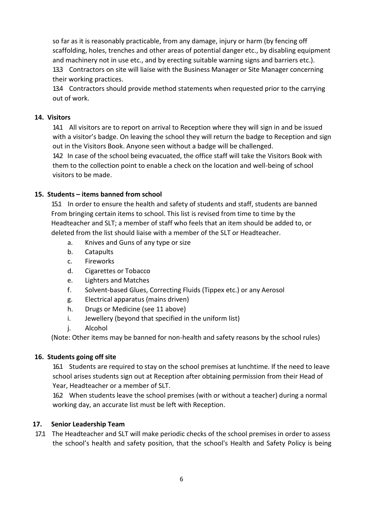so far as it is reasonably practicable, from any damage, injury or harm (by fencing off scaffolding, holes, trenches and other areas of potential danger etc., by disabling equipment and machinery not in use etc., and by erecting suitable warning signs and barriers etc.).

13.3 Contractors on site will liaise with the Business Manager or Site Manager concerning their working practices.

13.4 Contractors should provide method statements when requested prior to the carrying out of work.

# **14. Visitors**

14.1 All visitors are to report on arrival to Reception where they will sign in and be issued with a visitor's badge. On leaving the school they will return the badge to Reception and sign out in the Visitors Book. Anyone seen without a badge will be challenged.

14.2 In case of the school being evacuated, the office staff will take the Visitors Book with them to the collection point to enable a check on the location and well-being of school visitors to be made.

## **15. Students – items banned from school**

15.1 In order to ensure the health and safety of students and staff, students are banned From bringing certain items to school. This list is revised from time to time by the Headteacher and SLT; a member of staff who feels that an item should be added to, or deleted from the list should liaise with a member of the SLT or Headteacher.

- a. Knives and Guns of any type or size
- b. Catapults
- c. Fireworks
- d. Cigarettes or Tobacco
- e. Lighters and Matches
- f. Solvent-based Glues, Correcting Fluids (Tippex etc.) or any Aerosol
- g. Electrical apparatus (mains driven)
- h. Drugs or Medicine (see 11 above)
- i. Jewellery (beyond that specified in the uniform list)
- j. Alcohol

(Note: Other items may be banned for non-health and safety reasons by the school rules)

# **16. Students going off site**

16.1 Students are required to stay on the school premises at lunchtime. If the need to leave school arises students sign out at Reception after obtaining permission from their Head of Year, Headteacher or a member of SLT.

16.2 When students leave the school premises (with or without a teacher) during a normal working day, an accurate list must be left with Reception.

# **17. Senior Leadership Team**

17.1 The Headteacher and SLT will make periodic checks of the school premises in order to assess the school's health and safety position, that the school's Health and Safety Policy is being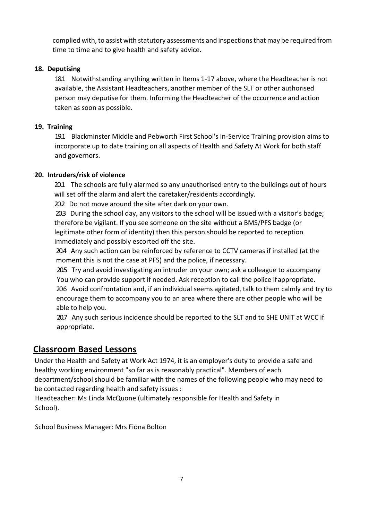complied with, to assist with statutory assessments and inspections that may be required from time to time and to give health and safety advice.

# **18. Deputising**

18.1 Notwithstanding anything written in Items 1-17 above, where the Headteacher is not available, the Assistant Headteachers, another member of the SLT or other authorised person may deputise for them. Informing the Headteacher of the occurrence and action taken as soon as possible.

# **19. Training**

19.1 Blackminster Middle and Pebworth First School's In-Service Training provision aims to incorporate up to date training on all aspects of Health and Safety At Work for both staff and governors.

# **20. Intruders/risk of violence**

20.1 The schools are fully alarmed so any unauthorised entry to the buildings out of hours will set off the alarm and alert the caretaker/residents accordingly.

20.2 Do not move around the site after dark on your own.

20.3 During the school day, any visitors to the school will be issued with a visitor's badge; therefore be vigilant. If you see someone on the site without a BMS/PFS badge (or legitimate other form of identity) then this person should be reported to reception immediately and possibly escorted off the site.

20.4 Any such action can be reinforced by reference to CCTV cameras if installed (at the moment this is not the case at PFS) and the police, if necessary.

20.5 Try and avoid investigating an intruder on your own; ask a colleague to accompany You who can provide support if needed. Ask reception to call the police ifappropriate. 20.6 Avoid confrontation and, if an individual seems agitated, talk to them calmly and try to encourage them to accompany you to an area where there are other people who will be able to help you.

20.7 Any such serious incidence should be reported to the SLT and to SHE UNIT at WCC if appropriate.

# **Classroom Based Lessons**

Under the Health and Safety at Work Act 1974, it is an employer's duty to provide a safe and healthy working environment "so far as is reasonably practical". Members of each department/school should be familiar with the names of the following people who may need to be contacted regarding health and safety issues :

Headteacher: Ms Linda McQuone (ultimately responsible for Health and Safety in School).

School Business Manager: Mrs Fiona Bolton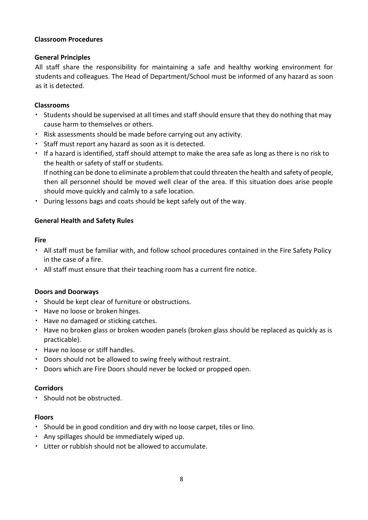# **Classroom Procedures**

## **General Principles**

All staff share the responsibility for maintaining a safe and healthy working environment for students and colleagues. The Head of Department/School must be informed of any hazard as soon as it is detected.

## **Classrooms**

- \* Students should be supervised at all times and staff should ensure that they do nothing that may cause harm to themselves or others.
- Risk assessments should be made before carrying out any activity.
- Staff must report any hazard as soon as it is detected.
- If a hazard is identified, staff should attempt to make the area safe as long as there is no risk to the health or safety of staff or students.

If nothing can be done to eliminate a problem that could threaten the health and safety of people, then all personnel should be moved well clear of the area. If this situation does arise people should move quickly and calmly to a safe location.

During lessons bags and coats should be kept safely out of the way.

# **General Health and Safety Rules**

## **Fire**

- All staff must be familiar with, and follow school procedures contained in the Fire Safety Policy in the case of a fire.
- All staff must ensure that their teaching room has a current fire notice.

# **Doors and Doorways**

- . Should be kept clear of furniture or obstructions.
- Have no loose or broken hinges.
- Have no damaged or sticking catches.
- Have no broken glass or broken wooden panels (broken glass should be replaced as quickly as is practicable).
- Have no loose or stiff handles.
- Doors should not be allowed to swing freely without restraint.
- Doors which are Fire Doors should never be locked or propped open.

# **Corridors**

• Should not be obstructed.

# **Floors**

- Should be in good condition and dry with no loose carpet, tiles or lino.
- Any spillages should be immediately wiped up.
- Litter or rubbish should not be allowed to accumulate.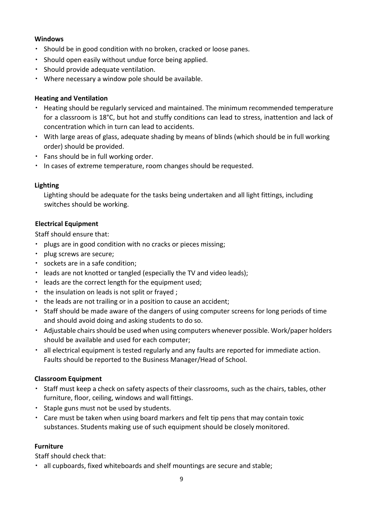# **Windows**

- . Should be in good condition with no broken, cracked or loose panes.
- Should open easily without undue force being applied.
- Should provide adequate ventilation.
- Where necessary a window pole should be available.

# **Heating and Ventilation**

- Heating should be regularly serviced and maintained. The minimum recommended temperature for a classroom is 18°C, but hot and stuffy conditions can lead to stress, inattention and lack of concentration which in turn can lead to accidents.
- With large areas of glass, adequate shading by means of blinds (which should be in full working order) should be provided.
- Fans should be in full working order.
- $\cdot$  In cases of extreme temperature, room changes should be requested.

## **Lighting**

Lighting should be adequate for the tasks being undertaken and all light fittings, including switches should be working.

## **Electrical Equipment**

Staff should ensure that:

- plugs are in good condition with no cracks or pieces missing;
- plug screws are secure;
- sockets are in a safe condition;
- leads are not knotted or tangled (especially the TV and video leads);
- leads are the correct length for the equipment used;
- $\cdot$  the insulation on leads is not split or frayed;
- the leads are not trailing or in a position to cause an accident;
- Staff should be made aware of the dangers of using computer screens for long periods of time and should avoid doing and asking students to do so.
- Adjustable chairs should be used when using computers whenever possible. Work/paper holders should be available and used for each computer;
- all electrical equipment is tested regularly and any faults are reported for immediate action. Faults should be reported to the Business Manager/Head of School.

## **Classroom Equipment**

- Staff must keep a check on safety aspects of their classrooms, such as the chairs, tables, other furniture, floor, ceiling, windows and wall fittings.
- Staple guns must not be used by students.
- Care must be taken when using board markers and felt tip pens that may contain toxic substances. Students making use of such equipment should be closely monitored.

## **Furniture**

Staff should check that:

all cupboards, fixed whiteboards and shelf mountings are secure and stable;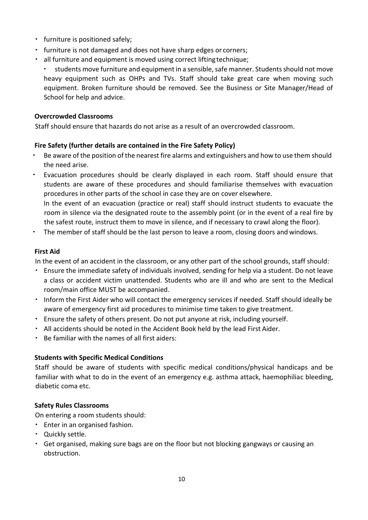- furniture is positioned safely;
- $\cdot$  furniture is not damaged and does not have sharp edges or corners;
- all furniture and equipment is moved using correct liftingtechnique;

students move furniture and equipment in a sensible, safe manner. Students should not move heavy equipment such as OHPs and TVs. Staff should take great care when moving such equipment. Broken furniture should be removed. See the Business or Site Manager/Head of School for help and advice.

## **Overcrowded Classrooms**

Staff should ensure that hazards do not arise as a result of an overcrowded classroom.

# **Fire Safety (further details are contained in the Fire Safety Policy)**

- Be aware of the position of the nearest fire alarms and extinguishers and how to use them should the need arise.
- Evacuation procedures should be clearly displayed in each room. Staff should ensure that students are aware of these procedures and should familiarise themselves with evacuation procedures in other parts of the school in case they are on cover elsewhere. In the event of an evacuation (practice or real) staff should instruct students to evacuate the room in silence via the designated route to the assembly point (or in the event of a real fire by the safest route, instruct them to move in silence, and if necessary to crawl along the floor).
- The member of staff should be the last person to leave a room, closing doors and windows.

## **First Aid**

In the event of an accident in the classroom, or any other part of the school grounds, staff should:

- Ensure the immediate safety of individuals involved, sending for help via a student. Do not leave a class or accident victim unattended. Students who are ill and who are sent to the Medical room/main office MUST be accompanied.
- Inform the First Aider who will contact the emergency services if needed. Staff should ideally be aware of emergency first aid procedures to minimise time taken to give treatment.
- Ensure the safety of others present. Do not put anyone at risk, including yourself.
- All accidents should be noted in the Accident Book held by the lead First Aider.
- Be familiar with the names of all first aiders:

# **Students with Specific Medical Conditions**

Staff should be aware of students with specific medical conditions/physical handicaps and be familiar with what to do in the event of an emergency e.g. asthma attack, haemophiliac bleeding, diabetic coma etc.

## **Safety Rules Classrooms**

On entering a room students should:

- Enter in an organised fashion.
- Quickly settle.
- Get organised, making sure bags are on the floor but not blocking gangways or causing an obstruction.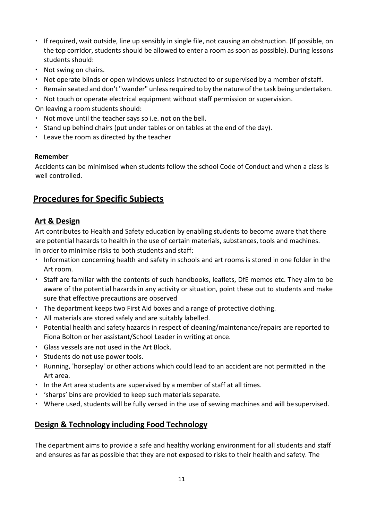- If required, wait outside, line up sensibly in single file, not causing an obstruction. (If possible, on the top corridor, students should be allowed to enter a room as soon as possible). During lessons students should:
- Not swing on chairs.
- $\cdot$  Not operate blinds or open windows unless instructed to or supervised by a member of staff.
- Remain seated and don't "wander" unless required to by the nature of the task being undertaken.
- Not touch or operate electrical equipment without staff permission or supervision.

On leaving a room students should:

- Not move until the teacher says so i.e. not on the bell.
- Stand up behind chairs (put under tables or on tables at the end of the day).
- Leave the room as directed by the teacher

# **Remember**

Accidents can be minimised when students follow the school Code of Conduct and when a class is well controlled.

# **Procedures for Specific Subjects**

# **Art & Design**

Art contributes to Health and Safety education by enabling students to become aware that there are potential hazards to health in the use of certain materials, substances, tools and machines. In order to minimise risks to both students and staff:

- Information concerning health and safety in schools and art rooms is stored in one folder in the Art room.
- Staff are familiar with the contents of such handbooks, leaflets, DfE memos etc. They aim to be aware of the potential hazards in any activity or situation, point these out to students and make sure that effective precautions are observed
- The department keeps two First Aid boxes and a range of protective clothing.
- All materials are stored safely and are suitably labelled.
- Potential health and safety hazards in respect of cleaning/maintenance/repairs are reported to Fiona Bolton or her assistant/School Leader in writing at once.
- Glass vessels are not used in the Art Block.
- **Students do not use power tools.**
- Running, 'horseplay' or other actions which could lead to an accident are not permitted in the Art area.
- In the Art area students are supervised by a member of staff at all times.
- . 'sharps' bins are provided to keep such materials separate.
- Where used, students will be fully versed in the use of sewing machines and will be supervised.

# **Design & Technology including Food Technology**

The department aims to provide a safe and healthy working environment for all students and staff and ensures as far as possible that they are not exposed to risks to their health and safety. The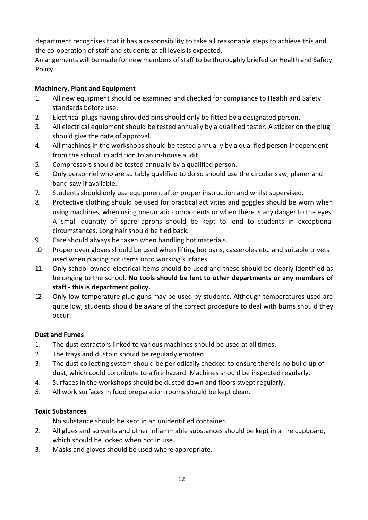department recognises that it has a responsibility to take all reasonable steps to achieve this and the co-operation of staff and students at all levels is expected.

Arrangements will be made for new members of staff to be thoroughly briefed on Health and Safety Policy.

# **Machinery, Plant and Equipment**

- 1. All new equipment should be examined and checked for compliance to Health and Safety standards before use.
- 2. Electrical plugs having shrouded pins should only be fitted by a designated person.
- 3. All electrical equipment should be tested annually by a qualified tester. A sticker on the plug should give the date of approval.
- 4. All machines in the workshops should be tested annually by a qualified person independent from the school, in addition to an in-house audit.
- 5. Compressors should be tested annually by a qualified person.
- 6. Only personnel who are suitably qualified to do so should use the circular saw, planer and band saw if available.
- 7. Students should only use equipment after proper instruction and whilst supervised.
- 8. Protective clothing should be used for practical activities and goggles should be worn when using machines, when using pneumatic components or when there is any danger to the eyes. A small quantity of spare aprons should be kept to lend to students in exceptional circumstances. Long hair should be tied back.
- 9. Care should always be taken when handling hot materials.
- 10. Proper oven gloves should be used when lifting hot pans, casseroles etc. and suitable trivets used when placing hot items onto working surfaces.
- **11.** Only school owned electrical items should be used and these should be clearly identified as belonging to the school. **No tools should be lent to other departments or any members of staff - this is department policy.**
- 12. Only low temperature glue guns may be used by students. Although temperatures used are quite low, students should be aware of the correct procedure to deal with burns should they occur.

# **Dust and Fumes**

- 1. The dust extractors linked to various machines should be used at all times.
- 2. The trays and dustbin should be regularly emptied.
- 3. The dust collecting system should be periodically checked to ensure there is no build up of dust, which could contribute to a fire hazard. Machines should be inspected regularly.
- 4. Surfaces in the workshops should be dusted down and floors swept regularly.
- 5. All work surfaces in food preparation rooms should be kept clean.

# **Toxic Substances**

- 1. No substance should be kept in an unidentified container.
- 2. All glues and solvents and other inflammable substances should be kept in a fire cupboard, which should be locked when not in use.
- 3. Masks and gloves should be used where appropriate.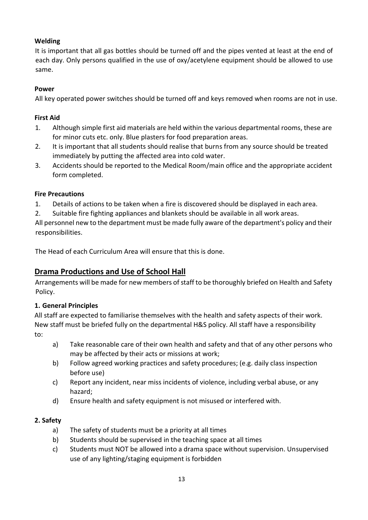# **Welding**

It is important that all gas bottles should be turned off and the pipes vented at least at the end of each day. Only persons qualified in the use of oxy/acetylene equipment should be allowed to use same.

# **Power**

All key operated power switches should be turned off and keys removed when rooms are not in use.

# **First Aid**

- 1. Although simple first aid materials are held within the various departmental rooms, these are for minor cuts etc. only. Blue plasters for food preparation areas.
- 2. It is important that all students should realise that burns from any source should be treated immediately by putting the affected area into cold water.
- 3. Accidents should be reported to the Medical Room/main office and the appropriate accident form completed.

# **Fire Precautions**

- 1. Details of actions to be taken when a fire is discovered should be displayed in each area.
- 2. Suitable fire fighting appliances and blankets should be available in all work areas.

All personnel new to the department must be made fully aware of the department's policy and their responsibilities.

The Head of each Curriculum Area will ensure that this is done.

# **Drama Productions and Use of School Hall**

Arrangements will be made for new members of staff to be thoroughly briefed on Health and Safety Policy.

# **1. General Principles**

All staff are expected to familiarise themselves with the health and safety aspects of their work. New staff must be briefed fully on the departmental H&S policy. All staff have a responsibility to:

- a) Take reasonable care of their own health and safety and that of any other persons who may be affected by their acts or missions at work;
- b) Follow agreed working practices and safety procedures; (e.g. daily class inspection before use)
- c) Report any incident, near miss incidents of violence, including verbal abuse, or any hazard;
- d) Ensure health and safety equipment is not misused or interfered with.

# **2. Safety**

- a) The safety of students must be a priority at all times
- b) Students should be supervised in the teaching space at all times
- c) Students must NOT be allowed into a drama space without supervision. Unsupervised use of any lighting/staging equipment is forbidden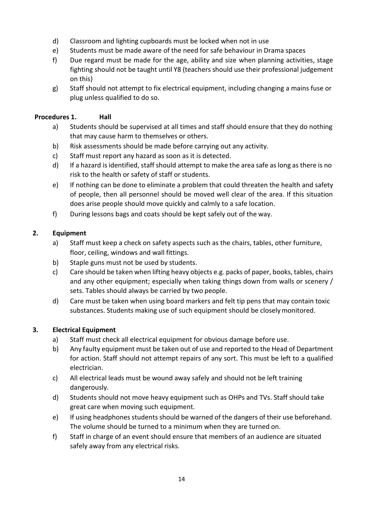- d) Classroom and lighting cupboards must be locked when not in use
- e) Students must be made aware of the need for safe behaviour in Drama spaces
- f) Due regard must be made for the age, ability and size when planning activities, stage fighting should not be taught until Y8 (teachers should use their professional judgement on this)
- g) Staff should not attempt to fix electrical equipment, including changing a mains fuse or plug unless qualified to do so.

# **Procedures 1. Hall**

- a) Students should be supervised at all times and staff should ensure that they do nothing that may cause harm to themselves or others.
- b) Risk assessments should be made before carrying out any activity.
- c) Staff must report any hazard as soon as it is detected.
- d) If a hazard is identified, staff should attempt to make the area safe as long as there is no risk to the health or safety of staff or students.
- e) If nothing can be done to eliminate a problem that could threaten the health and safety of people, then all personnel should be moved well clear of the area. If this situation does arise people should move quickly and calmly to a safe location.
- f) During lessons bags and coats should be kept safely out of the way.

# **2. Equipment**

- a) Staff must keep a check on safety aspects such as the chairs, tables, other furniture, floor, ceiling, windows and wall fittings.
- b) Staple guns must not be used by students.
- c) Care should be taken when lifting heavy objects e.g. packs of paper, books, tables, chairs and any other equipment; especially when taking things down from walls or scenery / sets. Tables should always be carried by two people.
- d) Care must be taken when using board markers and felt tip pens that may contain toxic substances. Students making use of such equipment should be closelymonitored.

# **3. Electrical Equipment**

- a) Staff must check all electrical equipment for obvious damage before use.
- b) Any faulty equipment must be taken out of use and reported to the Head of Department for action. Staff should not attempt repairs of any sort. This must be left to a qualified electrician.
- c) All electrical leads must be wound away safely and should not be left training dangerously.
- d) Students should not move heavy equipment such as OHPs and TVs. Staff should take great care when moving such equipment.
- e) If using headphones students should be warned of the dangers of their use beforehand. The volume should be turned to a minimum when they are turned on.
- f) Staff in charge of an event should ensure that members of an audience are situated safely away from any electrical risks.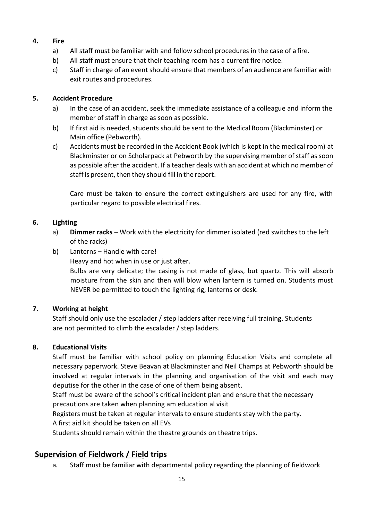# **4. Fire**

- a) All staff must be familiar with and follow school procedures in the case of a fire.
- b) All staff must ensure that their teaching room has a current fire notice.
- c) Staff in charge of an event should ensure that members of an audience are familiar with exit routes and procedures.

# **5. Accident Procedure**

- a) In the case of an accident, seek the immediate assistance of a colleague and inform the member of staff in charge as soon as possible.
- b) If first aid is needed, students should be sent to the Medical Room (Blackminster) or Main office (Pebworth).
- c) Accidents must be recorded in the Accident Book (which is kept in the medical room) at Blackminster or on Scholarpack at Pebworth by the supervising member of staff as soon as possible after the accident. If a teacher deals with an accident at which no member of staff is present, then they should fill in the report.

Care must be taken to ensure the correct extinguishers are used for any fire, with particular regard to possible electrical fires.

# **6. Lighting**

- a) **Dimmer racks**  Work with the electricity for dimmer isolated (red switches to the left of the racks)
- b) Lanterns Handle with care!
	- Heavy and hot when in use or just after.

Bulbs are very delicate; the casing is not made of glass, but quartz. This will absorb moisture from the skin and then will blow when lantern is turned on. Students must NEVER be permitted to touch the lighting rig, lanterns or desk.

# **7. Working at height**

Staff should only use the escalader / step ladders after receiving full training. Students are not permitted to climb the escalader / step ladders.

# **8. Educational Visits**

Staff must be familiar with school policy on planning Education Visits and complete all necessary paperwork. Steve Beavan at Blackminster and Neil Champs at Pebworth should be involved at regular intervals in the planning and organisation of the visit and each may deputise for the other in the case of one of them being absent.

Staff must be aware of the school's critical incident plan and ensure that the necessary precautions are taken when planning am education al visit

Registers must be taken at regular intervals to ensure students stay with the party.

A first aid kit should be taken on all EVs

Students should remain within the theatre grounds on theatre trips.

# **Supervision of Fieldwork / Field trips**

a. Staff must be familiar with departmental policy regarding the planning of fieldwork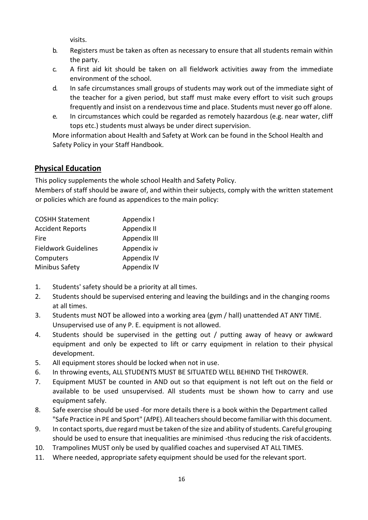visits.

- b. Registers must be taken as often as necessary to ensure that all students remain within the party.
- c. A first aid kit should be taken on all fieldwork activities away from the immediate environment of the school.
- d. In safe circumstances small groups of students may work out of the immediate sight of the teacher for a given period, but staff must make every effort to visit such groups frequently and insist on a rendezvous time and place. Students must never go off alone.
- e. In circumstances which could be regarded as remotely hazardous (e.g. near water, cliff tops etc.) students must always be under direct supervision.

More information about Health and Safety at Work can be found in the School Health and Safety Policy in your Staff Handbook.

# **Physical Education**

This policy supplements the whole school Health and Safety Policy.

Members of staff should be aware of, and within their subjects, comply with the written statement or policies which are found as appendices to the main policy:

| <b>COSHH Statement</b>      | Appendix I   |  |
|-----------------------------|--------------|--|
| <b>Accident Reports</b>     | Appendix II  |  |
| Fire                        | Appendix III |  |
| <b>Fieldwork Guidelines</b> | Appendix iv  |  |
| Computers                   | Appendix IV  |  |
| Minibus Safety              | Appendix IV  |  |

- 1. Students' safety should be a priority at all times.
- 2. Students should be supervised entering and leaving the buildings and in the changing rooms at all times.
- 3. Students must NOT be allowed into a working area (gym / hall) unattended AT ANY TIME. Unsupervised use of any P. E. equipment is not allowed.
- 4. Students should be supervised in the getting out / putting away of heavy or awkward equipment and only be expected to lift or carry equipment in relation to their physical development.
- 5. All equipment stores should be locked when not in use.
- 6. In throwing events, ALL STUDENTS MUST BE SITUATED WELL BEHIND THE THROWER.
- 7. Equipment MUST be counted in AND out so that equipment is not left out on the field or available to be used unsupervised. All students must be shown how to carry and use equipment safely.
- 8. Safe exercise should be used -for more details there is a book within the Department called "Safe Practice in PE and Sport" (AfPE). Allteachersshould become familiar with this document.
- 9. In contact sports, due regard must be taken of the size and ability of students. Careful grouping should be used to ensure that inequalities are minimised -thus reducing the risk ofaccidents.
- 10. Trampolines MUST only be used by qualified coaches and supervised AT ALL TIMES.
- 11. Where needed, appropriate safety equipment should be used for the relevant sport.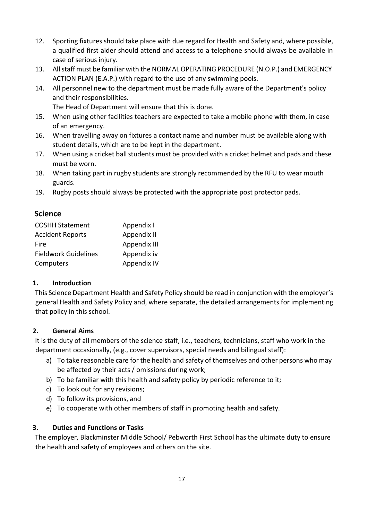- 12. Sporting fixtures should take place with due regard for Health and Safety and, where possible, a qualified first aider should attend and access to a telephone should always be available in case of serious injury.
- 13. Allstaff must be familiar with the NORMAL OPERATING PROCEDURE (N.O.P.) and EMERGENCY ACTION PLAN (E.A.P.) with regard to the use of any swimming pools.
- 14. All personnel new to the department must be made fully aware of the Department's policy and their responsibilities.

The Head of Department will ensure that this is done.

- 15. When using other facilities teachers are expected to take a mobile phone with them, in case of an emergency.
- 16. When travelling away on fixtures a contact name and number must be available along with student details, which are to be kept in the department.
- 17. When using a cricket ball students must be provided with a cricket helmet and pads and these must be worn.
- 18. When taking part in rugby students are strongly recommended by the RFU to wear mouth guards.
- 19. Rugby posts should always be protected with the appropriate post protector pads.

# **Science**

| <b>COSHH Statement</b>      | Appendix I   |
|-----------------------------|--------------|
| <b>Accident Reports</b>     | Appendix II  |
| Fire                        | Appendix III |
| <b>Fieldwork Guidelines</b> | Appendix iv  |
| Computers                   | Appendix IV  |

# **1. Introduction**

This Science Department Health and Safety Policy should be read in conjunction with the employer's general Health and Safety Policy and, where separate, the detailed arrangements for implementing that policy in this school.

# **2. General Aims**

It is the duty of all members of the science staff, i.e., teachers, technicians, staff who work in the department occasionally, (e.g., cover supervisors, special needs and bilingual staff):

- a) To take reasonable care for the health and safety of themselves and other persons who may be affected by their acts / omissions during work;
- b) To be familiar with this health and safety policy by periodic reference to it;
- c) To look out for any revisions;
- d) To follow its provisions, and
- e) To cooperate with other members of staff in promoting health and safety.

# **3. Duties and Functions or Tasks**

The employer, Blackminster Middle School/ Pebworth First School has the ultimate duty to ensure the health and safety of employees and others on the site.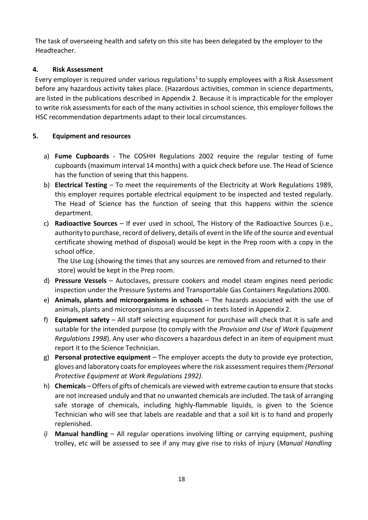The task of overseeing health and safety on this site has been delegated by the employer to the Headteacher.

# **4. Risk Assessment**

Every employer is required under various regulations<sup>1</sup> to supply employees with a Risk Assessment before any hazardous activity takes place. (Hazardous activities, common in science departments, are listed in the publications described in Appendix 2. Because it is impracticable for the employer to write risk assessments for each of the many activities in school science, this employer follows the HSC recommendation departments adapt to their local circumstances.

# **5. Equipment and resources**

- a) **Fume Cupboards**  The COSHH Regulations 2002 require the regular testing of fume cupboards(maximum interval 14 months) with a quick check before use. The Head of Science has the function of seeing that this happens.
- b) **Electrical Testing**  To meet the requirements of the Electricity at Work Regulations 1989, this employer requires portable electrical equipment to be inspected and tested regularly. The Head of Science has the function of seeing that this happens within the science department.
- c) **Radioactive Sources**  If ever used in school, The History of the Radioactive Sources (i.e., authority to purchase, record of delivery, details of event in the life of the source and eventual certificate showing method of disposal) would be kept in the Prep room with a copy in the school office.

The Use Log (showing the times that any sources are removed from and returned to their store) would be kept in the Prep room.

- d) **Pressure Vessels**  Autoclaves, pressure cookers and model steam engines need periodic inspection under the Pressure Systems and Transportable Gas Containers Regulations 2000.
- e) **Animals, plants and microorganisms in schools**  The hazards associated with the use of animals, plants and microorganisms are discussed in texts listed in Appendix 2.
- f) **Equipment safety**  All staff selecting equipment for purchase will check that it is safe and suitable for the intended purpose (to comply with the *Provision and Use of Work Equipment Regulations 1998*). Any user who discovers a hazardous defect in an item of equipment must report it to the Science Technician.
- g) **Personal protective equipment**  The employer accepts the duty to provide eye protection, gloves and laboratory coats for employees where the risk assessment requires them *(Personal Protective Equipment at Work Regulations 1992)*.
- h) **Chemicals** Offers of gifts of chemicals are viewed with extreme caution to ensure that stocks are not increased unduly and that no unwanted chemicals are included. The task of arranging safe storage of chemicals, including highly-flammable liquids, is given to the Science Technician who will see that labels are readable and that a soil kit is to hand and properly replenished.
- *i)* **Manual handling**  All regular operations involving lifting or carrying equipment, pushing trolley, etc will be assessed to see if any may give rise to risks of injury (*Manual Handling*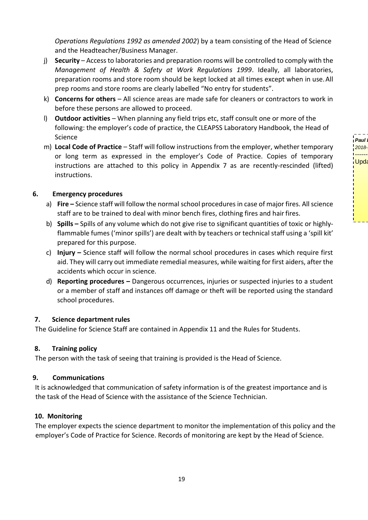**Paul** 2018--------------- Upda

*Operations Regulations 1992 as amended 2002*) by a team consisting of the Head of Science and the Headteacher/Business Manager.

- j) **Security** Accessto laboratories and preparation rooms will be controlled to comply with the *Management of Health & Safety at Work Regulations 1999*. Ideally, all laboratories, preparation rooms and store room should be kept locked at all times except when in use.All prep rooms and store rooms are clearly labelled "No entry for students".
- k) **Concerns for others**  All science areas are made safe for cleaners or contractors to work in before these persons are allowed to proceed.
- l) **Outdoor activities**  When planning any field trips etc, staff consult one or more of the following: the employer's code of practice, the CLEAPSS Laboratory Handbook, the Head of Science
- m) **Local Code of Practice** Staff will follow instructions from the employer, whether temporary or long term as expressed in the employer's Code of Practice. Copies of temporary instructions are attached to this policy in Appendix 7 as are recently-rescinded (lifted) instructions.

## **6. Emergency procedures**

- a) **Fire** Science staff will follow the normal school procedures in case of major fires. All science staff are to be trained to deal with minor bench fires, clothing fires and hair fires.
- b) **Spills –** Spills of any volume which do not give rise to significant quantities of toxic or highlyflammable fumes ('minor spills') are dealt with by teachers or technical staff using a 'spill kit' prepared for this purpose.
- c) **Injury –** Science staff will follow the normal school procedures in cases which require first aid. They will carry out immediate remedial measures, while waiting for first aiders, after the accidents which occur in science.
- d) **Reporting procedures –** Dangerous occurrences, injuries or suspected injuries to a student or a member of staff and instances off damage or theft will be reported using the standard school procedures.

## **7. Science department rules**

The Guideline for Science Staff are contained in Appendix 11 and the Rules for Students.

## **8. Training policy**

The person with the task of seeing that training is provided is the Head of Science.

## **9. Communications**

It is acknowledged that communication of safety information is of the greatest importance and is the task of the Head of Science with the assistance of the Science Technician.

## **10. Monitoring**

The employer expects the science department to monitor the implementation of this policy and the employer's Code of Practice for Science. Records of monitoring are kept by the Head of Science.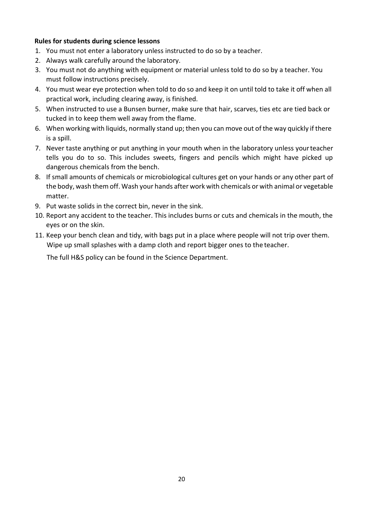# **Rules for students during science lessons**

- 1. You must not enter a laboratory unless instructed to do so by a teacher.
- 2. Always walk carefully around the laboratory.
- 3. You must not do anything with equipment or material unless told to do so by a teacher. You must follow instructions precisely.
- 4. You must wear eye protection when told to do so and keep it on until told to take it off when all practical work, including clearing away, is finished.
- 5. When instructed to use a Bunsen burner, make sure that hair, scarves, ties etc are tied back or tucked in to keep them well away from the flame.
- 6. When working with liquids, normally stand up; then you can move out of the way quickly if there is a spill.
- 7. Never taste anything or put anything in your mouth when in the laboratory unless yourteacher tells you do to so. This includes sweets, fingers and pencils which might have picked up dangerous chemicals from the bench.
- 8. If small amounts of chemicals or microbiological cultures get on your hands or any other part of the body, wash them off. Wash your hands after work with chemicals or with animal or vegetable matter.
- 9. Put waste solids in the correct bin, never in the sink.
- 10. Report any accident to the teacher. This includes burns or cuts and chemicals in the mouth, the eyes or on the skin.
- 11. Keep your bench clean and tidy, with bags put in a place where people will not trip over them. Wipe up small splashes with a damp cloth and report bigger ones to the teacher.

The full H&S policy can be found in the Science Department.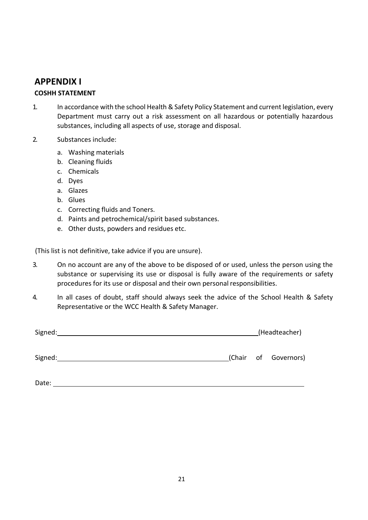# **APPENDIX I**

# **COSHH STATEMENT**

- 1. In accordance with the school Health & Safety Policy Statement and current legislation, every Department must carry out a risk assessment on all hazardous or potentially hazardous substances, including all aspects of use, storage and disposal.
- 2. Substances include:
	- a. Washing materials
	- b. Cleaning fluids
	- c. Chemicals
	- d. Dyes
	- a. Glazes
	- b. Glues
	- c. Correcting fluids and Toners.
	- d. Paints and petrochemical/spirit based substances.
	- e. Other dusts, powders and residues etc.

(This list is not definitive, take advice if you are unsure).

- 3. On no account are any of the above to be disposed of or used, unless the person using the substance or supervising its use or disposal is fully aware of the requirements or safety procedures for its use or disposal and their own personal responsibilities.
- 4. In all cases of doubt, staff should always seek the advice of the School Health & Safety Representative or the WCC Health & Safety Manager.

| Signed: |  |  | (Headteacher)        |  |  |
|---------|--|--|----------------------|--|--|
| Signed: |  |  | (Chair of Governors) |  |  |

Date: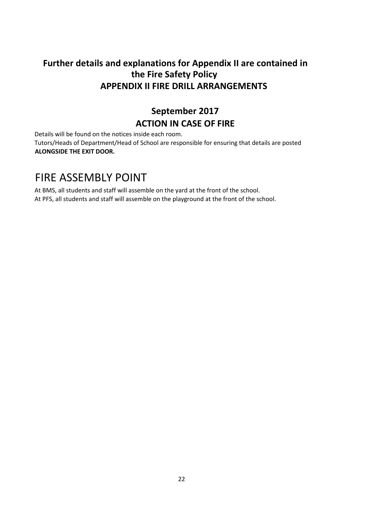# **Further details and explanations for Appendix II are contained in the Fire Safety Policy APPENDIX II FIRE DRILL ARRANGEMENTS**

# **September 2017 ACTION IN CASE OF FIRE**

Details will be found on the notices inside each room.

Tutors/Heads of Department/Head of School are responsible for ensuring that details are posted **ALONGSIDE THE EXIT DOOR.**

# FIRE ASSEMBLY POINT

At BMS, all students and staff will assemble on the yard at the front of the school. At PFS, all students and staff will assemble on the playground at the front of the school.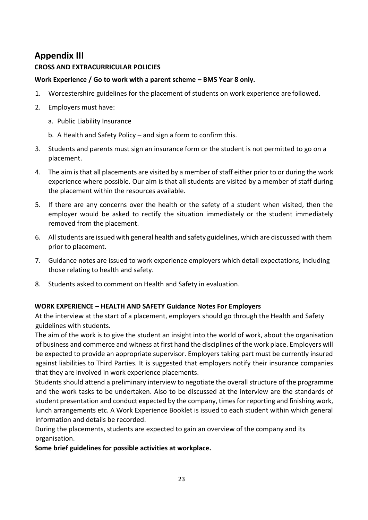# **Appendix III**

# **CROSS AND EXTRACURRICULAR POLICIES**

# **Work Experience / Go to work with a parent scheme – BMS Year 8 only.**

- 1. Worcestershire guidelines for the placement of students on work experience are followed.
- 2. Employers must have:
	- a. Public Liability Insurance
	- b. A Health and Safety Policy and sign a form to confirm this.
- 3. Students and parents must sign an insurance form or the student is not permitted to go on a placement.
- 4. The aim isthat all placements are visited by a member of staff either prior to or during the work experience where possible. Our aim is that all students are visited by a member of staff during the placement within the resources available.
- 5. If there are any concerns over the health or the safety of a student when visited, then the employer would be asked to rectify the situation immediately or the student immediately removed from the placement.
- 6. Allstudents are issued with general health and safety guidelines, which are discussed with them prior to placement.
- 7. Guidance notes are issued to work experience employers which detail expectations, including those relating to health and safety.
- 8. Students asked to comment on Health and Safety in evaluation.

# **WORK EXPERIENCE – HEALTH AND SAFETY Guidance Notes For Employers**

At the interview at the start of a placement, employers should go through the Health and Safety guidelines with students.

The aim of the work is to give the student an insight into the world of work, about the organisation of business and commerce and witness at first hand the disciplines of the work place. Employers will be expected to provide an appropriate supervisor. Employers taking part must be currently insured against liabilities to Third Parties. It is suggested that employers notify their insurance companies that they are involved in work experience placements.

Students should attend a preliminary interview to negotiate the overall structure of the programme and the work tasks to be undertaken. Also to be discussed at the interview are the standards of student presentation and conduct expected by the company, timesfor reporting and finishing work, lunch arrangements etc. A Work Experience Booklet is issued to each student within which general information and details be recorded.

During the placements, students are expected to gain an overview of the company and its organisation.

**Some brief guidelines for possible activities at workplace.**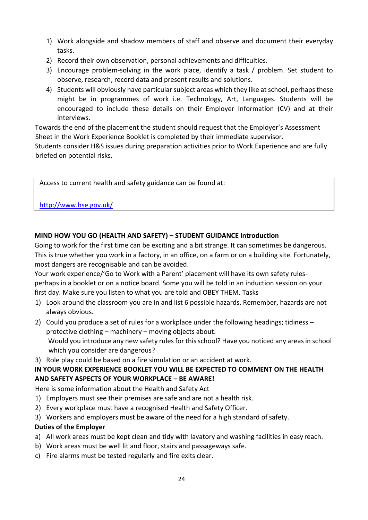- 1) Work alongside and shadow members of staff and observe and document their everyday tasks.
- 2) Record their own observation, personal achievements and difficulties.
- 3) Encourage problem-solving in the work place, identify a task / problem. Set student to observe, research, record data and present results and solutions.
- 4) Students will obviously have particular subject areas which they like at school, perhaps these might be in programmes of work i.e. Technology, Art, Languages. Students will be encouraged to include these details on their Employer Information (CV) and at their interviews.

Towards the end of the placement the student should request that the Employer's Assessment Sheet in the Work Experience Booklet is completed by their immediate supervisor.

Students consider H&S issues during preparation activities prior to Work Experience and are fully briefed on potential risks.

Access to current health and safety guidance can be found at:

# <http://www.hse.gov.uk/>

# **MIND HOW YOU GO (HEALTH AND SAFETY) – STUDENT GUIDANCE Introduction**

Going to work for the first time can be exciting and a bit strange. It can sometimes be dangerous. This is true whether you work in a factory, in an office, on a farm or on a building site. Fortunately, most dangers are recognisable and can be avoided.

Your work experience/'Go to Work with a Parent' placement will have its own safety rulesperhaps in a booklet or on a notice board. Some you will be told in an induction session on your first day. Make sure you listen to what you are told and OBEY THEM. Tasks

- 1) Look around the classroom you are in and list 6 possible hazards. Remember, hazards are not always obvious.
- 2) Could you produce a set of rules for a workplace under the following headings; tidiness protective clothing – machinery – moving objects about. Would you introduce any new safety rules for this school? Have you noticed any areas in school which you consider are dangerous?
- 3) Role play could be based on a fire simulation or an accident at work.

# **IN YOUR WORK EXPERIENCE BOOKLET YOU WILL BE EXPECTED TO COMMENT ON THE HEALTH AND SAFETY ASPECTS OF YOUR WORKPLACE – BE AWARE!**

Here is some information about the Health and Safety Act

- 1) Employers must see their premises are safe and are not a health risk.
- 2) Every workplace must have a recognised Health and Safety Officer.
- 3) Workers and employers must be aware of the need for a high standard of safety.

## **Duties of the Employer**

- a) All work areas must be kept clean and tidy with lavatory and washing facilities in easy reach.
- b) Work areas must be well lit and floor, stairs and passageways safe.
- c) Fire alarms must be tested regularly and fire exits clear.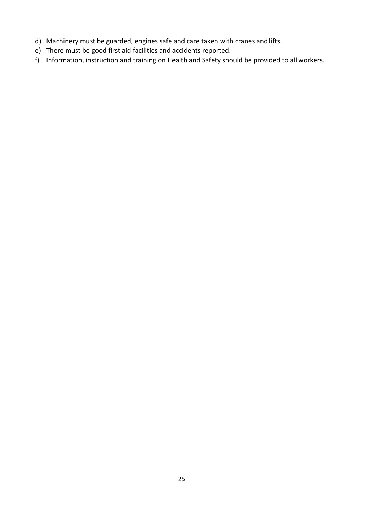- d) Machinery must be guarded, engines safe and care taken with cranes and lifts.
- e) There must be good first aid facilities and accidents reported.
- f) Information, instruction and training on Health and Safety should be provided to all workers.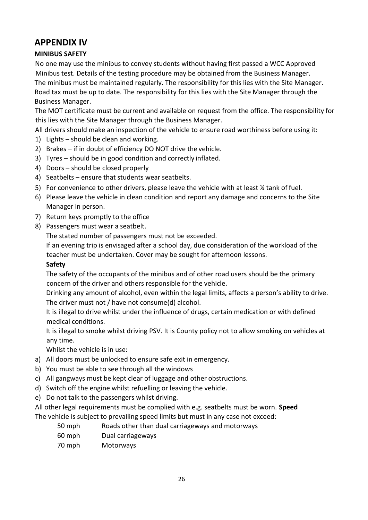# **APPENDIX IV**

# **MINIBUS SAFETY**

No one may use the minibus to convey students without having first passed a WCC Approved Minibus test. Details of the testing procedure may be obtained from the Business Manager. The minibus must be maintained regularly. The responsibility for this lies with the Site Manager. Road tax must be up to date. The responsibility for this lies with the Site Manager through the Business Manager.

The MOT certificate must be current and available on request from the office. The responsibility for this lies with the Site Manager through the Business Manager.

All drivers should make an inspection of the vehicle to ensure road worthiness before using it:

- 1) Lights should be clean and working.
- 2) Brakes if in doubt of efficiency DO NOT drive the vehicle.
- 3) Tyres should be in good condition and correctly inflated.
- 4) Doors should be closed properly
- 4) Seatbelts ensure that students wear seatbelts.
- 5) For convenience to other drivers, please leave the vehicle with at least ¼ tank of fuel.
- 6) Please leave the vehicle in clean condition and report any damage and concerns to the Site Manager in person.
- 7) Return keys promptly to the office
- 8) Passengers must wear a seatbelt.

The stated number of passengers must not be exceeded.

If an evening trip is envisaged after a school day, due consideration of the workload of the teacher must be undertaken. Cover may be sought for afternoon lessons.

## **Safety**

The safety of the occupants of the minibus and of other road users should be the primary concern of the driver and others responsible for the vehicle.

Drinking any amount of alcohol, even within the legal limits, affects a person's ability to drive. The driver must not / have not consume(d) alcohol.

It is illegal to drive whilst under the influence of drugs, certain medication or with defined medical conditions.

It is illegal to smoke whilst driving PSV. It is County policy not to allow smoking on vehicles at any time.

Whilst the vehicle is in use:

- a) All doors must be unlocked to ensure safe exit in emergency.
- b) You must be able to see through all the windows
- c) All gangways must be kept clear of luggage and other obstructions.
- d) Switch off the engine whilst refuelling or leaving the vehicle.
- e) Do not talk to the passengers whilst driving.

All other legal requirements must be complied with e.g. seatbelts must be worn. **Speed** The vehicle is subject to prevailing speed limits but must in any case not exceed:

- 50 mph Roads other than dual carriageways and motorways
- 60 mph Dual carriageways
- 70 mph Motorways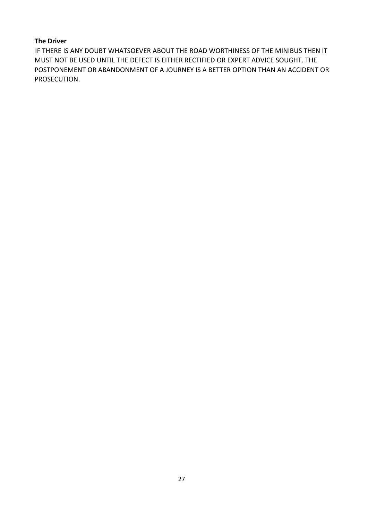## **The Driver**

IF THERE IS ANY DOUBT WHATSOEVER ABOUT THE ROAD WORTHINESS OF THE MINIBUS THEN IT MUST NOT BE USED UNTIL THE DEFECT IS EITHER RECTIFIED OR EXPERT ADVICE SOUGHT. THE POSTPONEMENT OR ABANDONMENT OF A JOURNEY IS A BETTER OPTION THAN AN ACCIDENT OR PROSECUTION.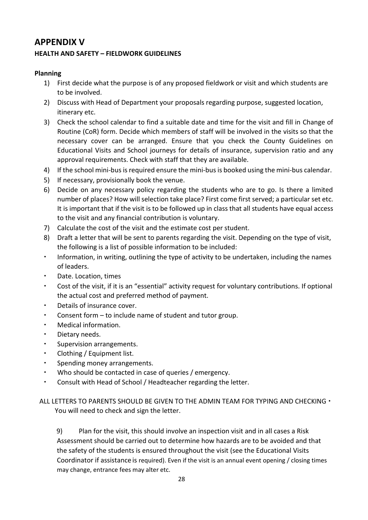# **APPENDIX V**

# **HEALTH AND SAFETY – FIELDWORK GUIDELINES**

# **Planning**

- 1) First decide what the purpose is of any proposed fieldwork or visit and which students are to be involved.
- 2) Discuss with Head of Department your proposals regarding purpose, suggested location, itinerary etc.
- 3) Check the school calendar to find a suitable date and time for the visit and fill in Change of Routine (CoR) form. Decide which members of staff will be involved in the visits so that the necessary cover can be arranged. Ensure that you check the County Guidelines on Educational Visits and School journeys for details of insurance, supervision ratio and any approval requirements. Check with staff that they are available.
- 4) If the school mini-bus is required ensure the mini-bus is booked using the mini-bus calendar.
- 5) If necessary, provisionally book the venue.
- 6) Decide on any necessary policy regarding the students who are to go. Is there a limited number of places? How will selection take place? First come first served; a particular set etc. It is important that if the visit is to be followed up in class that all students have equal access to the visit and any financial contribution is voluntary.
- 7) Calculate the cost of the visit and the estimate cost per student.
- 8) Draft a letter that will be sent to parents regarding the visit. Depending on the type of visit, the following is a list of possible information to be included:
- Information, in writing, outlining the type of activity to be undertaken, including the names of leaders.
- Date. Location, times
- Cost of the visit, if it is an "essential" activity request for voluntary contributions. If optional the actual cost and preferred method of payment.
- Details of insurance cover.
- Consent form to include name of student and tutor group.
- Medical information.
- Dietary needs.
- **Supervision arrangements.**
- Clothing / Equipment list.
- Spending money arrangements.
- Who should be contacted in case of queries / emergency.
- Consult with Head of School / Headteacher regarding the letter.

ALL LETTERS TO PARENTS SHOULD BE GIVEN TO THE ADMIN TEAM FOR TYPING AND CHECKING  $\cdot$ You will need to check and sign the letter.

9) Plan for the visit, this should involve an inspection visit and in all cases a Risk Assessment should be carried out to determine how hazards are to be avoided and that the safety of the students is ensured throughout the visit (see the Educational Visits Coordinator if assistance is required). Even if the visit is an annual event opening / closing times may change, entrance fees may alter etc.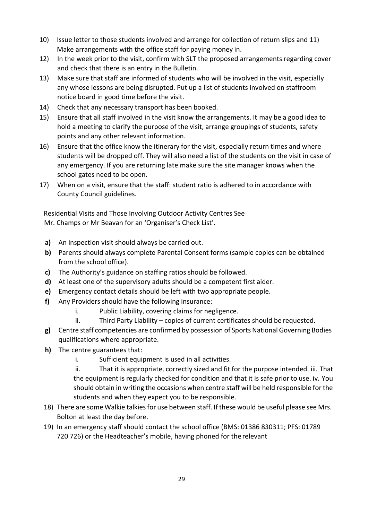- 10) Issue letter to those students involved and arrange for collection of return slips and 11) Make arrangements with the office staff for paying money in.
- 12) In the week prior to the visit, confirm with SLT the proposed arrangements regarding cover and check that there is an entry in the Bulletin.
- 13) Make sure that staff are informed of students who will be involved in the visit, especially any whose lessons are being disrupted. Put up a list of students involved on staffroom notice board in good time before the visit.
- 14) Check that any necessary transport has been booked.
- 15) Ensure that all staff involved in the visit know the arrangements. It may be a good idea to hold a meeting to clarify the purpose of the visit, arrange groupings of students, safety points and any other relevant information.
- 16) Ensure that the office know the itinerary for the visit, especially return times and where students will be dropped off. They will also need a list of the students on the visit in case of any emergency. If you are returning late make sure the site manager knows when the school gates need to be open.
- 17) When on a visit, ensure that the staff: student ratio is adhered to in accordance with County Council guidelines.

Residential Visits and Those Involving Outdoor Activity Centres See Mr. Champs or Mr Beavan for an 'Organiser's Check List'.

- **a)** An inspection visit should always be carried out.
- **b)** Parents should always complete Parental Consent forms (sample copies can be obtained from the school office).
- **c)** The Authority's guidance on staffing ratios should be followed.
- **d)** At least one of the supervisory adults should be a competent first aider.
- **e)** Emergency contact details should be left with two appropriate people.
- **f)** Any Providers should have the following insurance:
	- i. Public Liability, covering claims for negligence.
	- ii. Third Party Liability copies of current certificates should be requested.
- **g)** Centre staff competencies are confirmed by possession of Sports National Governing Bodies qualifications where appropriate.
- **h)** The centre guarantees that:
	- i. Sufficient equipment is used in all activities.
	- ii. That it is appropriate, correctly sized and fit for the purpose intended. iii. That the equipment is regularly checked for condition and that it is safe prior to use. iv. You should obtain in writing the occasions when centre staff will be held responsible for the students and when they expect you to be responsible.
- 18) There are some Walkie talkiesfor use between staff. If these would be useful please see Mrs. Bolton at least the day before.
- 19) In an emergency staff should contact the school office (BMS: 01386 830311; PFS: 01789 720 726) or the Headteacher's mobile, having phoned for the relevant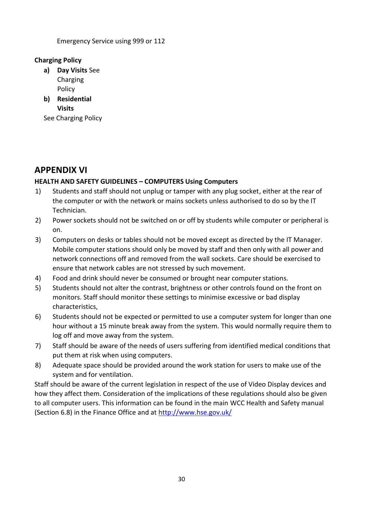Emergency Service using 999 or 112

# **Charging Policy**

- **a) Day Visits** See Charging Policy
- **b) Residential Visits**

See Charging Policy

# **APPENDIX VI**

# **HEALTH AND SAFETY GUIDELINES – COMPUTERS Using Computers**

- 1) Students and staff should not unplug or tamper with any plug socket, either at the rear of the computer or with the network or mains sockets unless authorised to do so by the IT Technician.
- 2) Power sockets should not be switched on or off by students while computer or peripheral is on.
- 3) Computers on desks or tables should not be moved except as directed by the IT Manager. Mobile computer stations should only be moved by staff and then only with all power and network connections off and removed from the wall sockets. Care should be exercised to ensure that network cables are not stressed by such movement.
- 4) Food and drink should never be consumed or brought near computer stations.
- 5) Students should not alter the contrast, brightness or other controls found on the front on monitors. Staff should monitor these settings to minimise excessive or bad display characteristics,
- 6) Students should not be expected or permitted to use a computer system for longer than one hour without a 15 minute break away from the system. This would normally require them to log off and move away from the system.
- 7) Staff should be aware of the needs of users suffering from identified medical conditions that put them at risk when using computers.
- 8) Adequate space should be provided around the work station for users to make use of the system and for ventilation.

Staff should be aware of the current legislation in respect of the use of Video Display devices and how they affect them. Consideration of the implications of these regulations should also be given to all computer users. This information can be found in the main WCC Health and Safety manual (Section 6.8) in the Finance Office and at<http://www.hse.gov.uk/>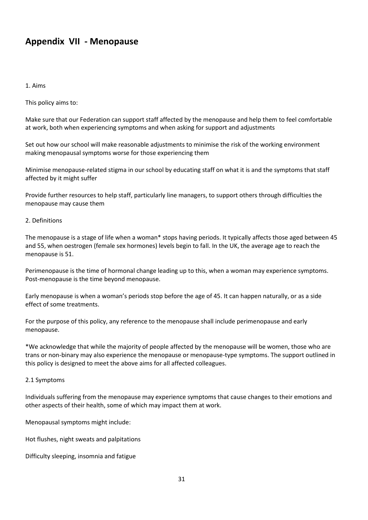# **Appendix VII - Menopause**

#### 1. Aims

This policy aims to:

Make sure that our Federation can support staff affected by the menopause and help them to feel comfortable at work, both when experiencing symptoms and when asking for support and adjustments

Set out how our school will make reasonable adjustments to minimise the risk of the working environment making menopausal symptoms worse for those experiencing them

Minimise menopause-related stigma in our school by educating staff on what it is and the symptoms that staff affected by it might suffer

Provide further resources to help staff, particularly line managers, to support others through difficulties the menopause may cause them

#### 2. Definitions

The menopause is a stage of life when a woman\* stops having periods. It typically affects those aged between 45 and 55, when oestrogen (female sex hormones) levels begin to fall. In the UK, the average age to reach the menopause is 51.

Perimenopause is the time of hormonal change leading up to this, when a woman may experience symptoms. Post-menopause is the time beyond menopause.

Early menopause is when a woman's periods stop before the age of 45. It can happen naturally, or as a side effect of some treatments.

For the purpose of this policy, any reference to the menopause shall include perimenopause and early menopause.

\*We acknowledge that while the majority of people affected by the menopause will be women, those who are trans or non-binary may also experience the menopause or menopause-type symptoms. The support outlined in this policy is designed to meet the above aims for all affected colleagues.

#### 2.1 Symptoms

Individuals suffering from the menopause may experience symptoms that cause changes to their emotions and other aspects of their health, some of which may impact them at work.

Menopausal symptoms might include:

Hot flushes, night sweats and palpitations

Difficulty sleeping, insomnia and fatigue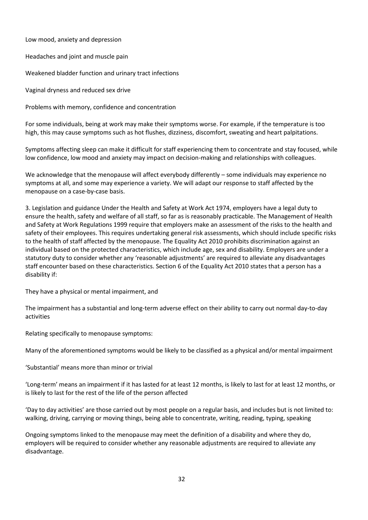Low mood, anxiety and depression

Headaches and joint and muscle pain

Weakened bladder function and urinary tract infections

Vaginal dryness and reduced sex drive

Problems with memory, confidence and concentration

For some individuals, being at work may make their symptoms worse. For example, if the temperature is too high, this may cause symptoms such as hot flushes, dizziness, discomfort, sweating and heart palpitations.

Symptoms affecting sleep can make it difficult for staff experiencing them to concentrate and stay focused, while low confidence, low mood and anxiety may impact on decision-making and relationships with colleagues.

We acknowledge that the menopause will affect everybody differently – some individuals may experience no symptoms at all, and some may experience a variety. We will adapt our response to staff affected by the menopause on a case-by-case basis.

3. Legislation and guidance Under the Health and Safety at Work Act 1974, employers have a legal duty to ensure the health, safety and welfare of all staff, so far as is reasonably practicable. The Management of Health and Safety at Work Regulations 1999 require that employers make an assessment of the risks to the health and safety of their employees. This requires undertaking general risk assessments, which should include specific risks to the health of staff affected by the menopause. The Equality Act 2010 prohibits discrimination against an individual based on the protected characteristics, which include age, sex and disability. Employers are under a statutory duty to consider whether any 'reasonable adjustments' are required to alleviate any disadvantages staff encounter based on these characteristics. Section 6 of the Equality Act 2010 states that a person has a disability if:

They have a physical or mental impairment, and

The impairment has a substantial and long-term adverse effect on their ability to carry out normal day-to-day activities

Relating specifically to menopause symptoms:

Many of the aforementioned symptoms would be likely to be classified as a physical and/or mental impairment

'Substantial' means more than minor or trivial

'Long-term' means an impairment if it has lasted for at least 12 months, is likely to last for at least 12 months, or is likely to last for the rest of the life of the person affected

'Day to day activities' are those carried out by most people on a regular basis, and includes but is not limited to: walking, driving, carrying or moving things, being able to concentrate, writing, reading, typing, speaking

Ongoing symptoms linked to the menopause may meet the definition of a disability and where they do, employers will be required to consider whether any reasonable adjustments are required to alleviate any disadvantage.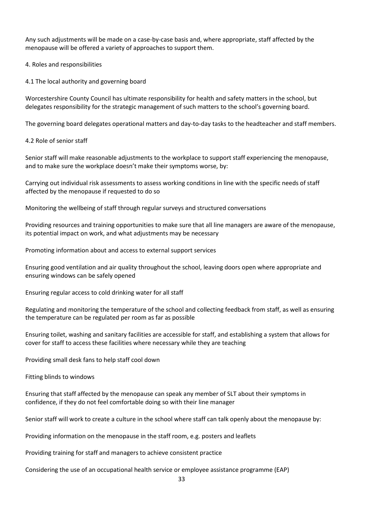Any such adjustments will be made on a case-by-case basis and, where appropriate, staff affected by the menopause will be offered a variety of approaches to support them.

4. Roles and responsibilities

4.1 The local authority and governing board

Worcestershire County Council has ultimate responsibility for health and safety matters in the school, but delegates responsibility for the strategic management of such matters to the school's governing board.

The governing board delegates operational matters and day-to-day tasks to the headteacher and staff members.

4.2 Role of senior staff

Senior staff will make reasonable adjustments to the workplace to support staff experiencing the menopause, and to make sure the workplace doesn't make their symptoms worse, by:

Carrying out individual risk assessments to assess working conditions in line with the specific needs of staff affected by the menopause if requested to do so

Monitoring the wellbeing of staff through regular surveys and structured conversations

Providing resources and training opportunities to make sure that all line managers are aware of the menopause, its potential impact on work, and what adjustments may be necessary

Promoting information about and access to external support services

Ensuring good ventilation and air quality throughout the school, leaving doors open where appropriate and ensuring windows can be safely opened

Ensuring regular access to cold drinking water for all staff

Regulating and monitoring the temperature of the school and collecting feedback from staff, as well as ensuring the temperature can be regulated per room as far as possible

Ensuring toilet, washing and sanitary facilities are accessible for staff, and establishing a system that allows for cover for staff to access these facilities where necessary while they are teaching

Providing small desk fans to help staff cool down

Fitting blinds to windows

Ensuring that staff affected by the menopause can speak any member of SLT about their symptoms in confidence, if they do not feel comfortable doing so with their line manager

Senior staff will work to create a culture in the school where staff can talk openly about the menopause by:

Providing information on the menopause in the staff room, e.g. posters and leaflets

Providing training for staff and managers to achieve consistent practice

Considering the use of an occupational health service or employee assistance programme (EAP)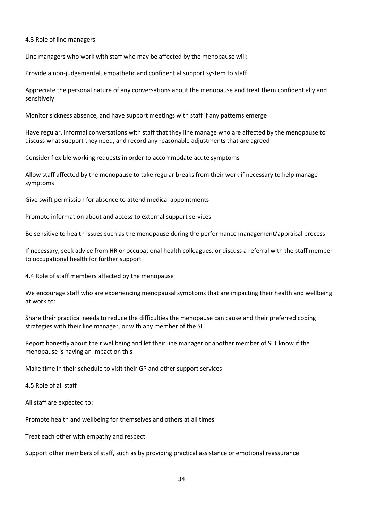4.3 Role of line managers

Line managers who work with staff who may be affected by the menopause will:

Provide a non-judgemental, empathetic and confidential support system to staff

Appreciate the personal nature of any conversations about the menopause and treat them confidentially and sensitively

Monitor sickness absence, and have support meetings with staff if any patterns emerge

Have regular, informal conversations with staff that they line manage who are affected by the menopause to discuss what support they need, and record any reasonable adjustments that are agreed

Consider flexible working requests in order to accommodate acute symptoms

Allow staff affected by the menopause to take regular breaks from their work if necessary to help manage symptoms

Give swift permission for absence to attend medical appointments

Promote information about and access to external support services

Be sensitive to health issues such as the menopause during the performance management/appraisal process

If necessary, seek advice from HR or occupational health colleagues, or discuss a referral with the staff member to occupational health for further support

4.4 Role of staff members affected by the menopause

We encourage staff who are experiencing menopausal symptoms that are impacting their health and wellbeing at work to:

Share their practical needs to reduce the difficulties the menopause can cause and their preferred coping strategies with their line manager, or with any member of the SLT

Report honestly about their wellbeing and let their line manager or another member of SLT know if the menopause is having an impact on this

Make time in their schedule to visit their GP and other support services

4.5 Role of all staff

All staff are expected to:

Promote health and wellbeing for themselves and others at all times

Treat each other with empathy and respect

Support other members of staff, such as by providing practical assistance or emotional reassurance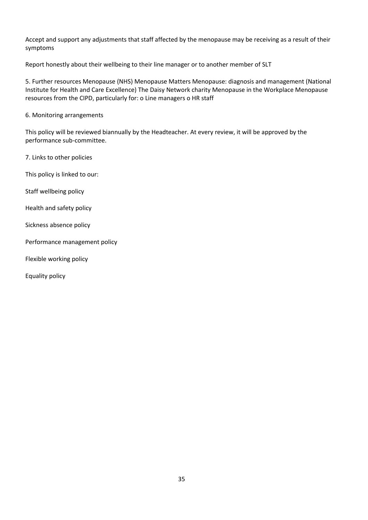Accept and support any adjustments that staff affected by the menopause may be receiving as a result of their symptoms

Report honestly about their wellbeing to their line manager or to another member of SLT

5. Further resources Menopause (NHS) Menopause Matters Menopause: diagnosis and management (National Institute for Health and Care Excellence) The Daisy Network charity Menopause in the Workplace Menopause resources from the CIPD, particularly for: o Line managers o HR staff

6. Monitoring arrangements

This policy will be reviewed biannually by the Headteacher. At every review, it will be approved by the performance sub-committee.

7. Links to other policies

This policy is linked to our:

Staff wellbeing policy

Health and safety policy

Sickness absence policy

Performance management policy

Flexible working policy

Equality policy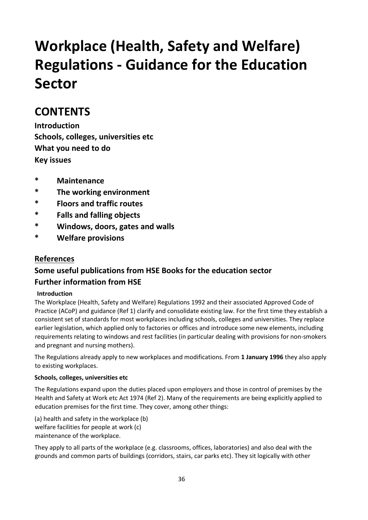# **Workplace (Health, Safety and Welfare) Regulations - Guidance for the Education Sector**

# **CONTENTS**

**Introduction Schools, colleges, universities etc What you need to do Key issues**

- **\* Maintenance**
- **\* The working environment**
- **\* Floors and traffic routes**
- **\* Falls and falling objects**
- **\* Windows, doors, gates and walls**
- **\* Welfare provisions**

# **References**

# **Some useful publications from HSE Books for the education sector Further information from HSE**

## **Introduction**

The Workplace (Health, Safety and Welfare) Regulations 1992 and their associated Approved Code of Practice (ACoP) and guidance (Ref 1) clarify and consolidate existing law. For the first time they establish a consistent set of standards for most workplaces including schools, colleges and universities. They replace earlier legislation, which applied only to factories or offices and introduce some new elements, including requirements relating to windows and rest facilities (in particular dealing with provisions for non-smokers and pregnant and nursing mothers).

The Regulations already apply to new workplaces and modifications. From **1 January 1996** they also apply to existing workplaces.

## **Schools, colleges, universities etc**

The Regulations expand upon the duties placed upon employers and those in control of premises by the Health and Safety at Work etc Act 1974 (Ref 2). Many of the requirements are being explicitly applied to education premises for the first time. They cover, among other things:

(a) health and safety in the workplace (b) welfare facilities for people at work (c) maintenance of the workplace.

They apply to all parts of the workplace (e.g. classrooms, offices, laboratories) and also deal with the grounds and common parts of buildings (corridors, stairs, car parks etc). They sit logically with other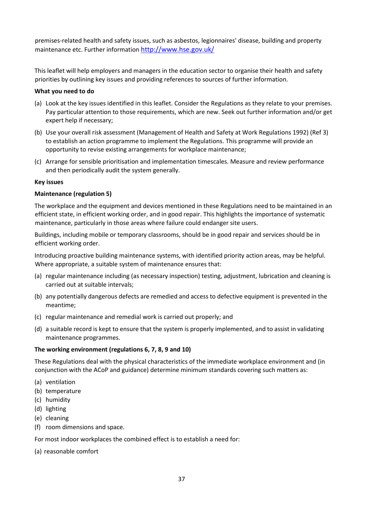premises-related health and safety issues, such as asbestos, legionnaires' disease, building and property maintenance etc. Further information <http://www.hse.gov.uk/>

This leaflet will help employers and managers in the education sector to organise their health and safety priorities by outlining key issues and providing references to sources of further information.

#### **What you need to do**

- (a) Look at the key issues identified in this leaflet. Consider the Regulations as they relate to your premises. Pay particular attention to those requirements, which are new. Seek out further information and/or get expert help if necessary;
- (b) Use your overall risk assessment (Management of Health and Safety at Work Regulations 1992) (Ref 3) to establish an action programme to implement the Regulations. This programme will provide an opportunity to revise existing arrangements for workplace maintenance;
- (c) Arrange for sensible prioritisation and implementation timescales. Measure and review performance and then periodically audit the system generally.

#### **Key issues**

#### **Maintenance (regulation 5)**

The workplace and the equipment and devices mentioned in these Regulations need to be maintained in an efficient state, in efficient working order, and in good repair. This highlights the importance of systematic maintenance, particularly in those areas where failure could endanger site users.

Buildings, including mobile or temporary classrooms, should be in good repair and services should be in efficient working order.

Introducing proactive building maintenance systems, with identified priority action areas, may be helpful. Where appropriate, a suitable system of maintenance ensures that:

- (a) regular maintenance including (as necessary inspection) testing, adjustment, lubrication and cleaning is carried out at suitable intervals;
- (b) any potentially dangerous defects are remedied and access to defective equipment is prevented in the meantime;
- (c) regular maintenance and remedial work is carried out properly; and
- (d) a suitable record is kept to ensure that the system is properly implemented, and to assist in validating maintenance programmes.

#### **The working environment (regulations 6, 7, 8, 9 and 10)**

These Regulations deal with the physical characteristics of the immediate workplace environment and (in conjunction with the ACoP and guidance) determine minimum standards covering such matters as:

- (a) ventilation
- (b) temperature
- (c) humidity
- (d) lighting
- (e) cleaning
- (f) room dimensions and space.

For most indoor workplaces the combined effect is to establish a need for:

(a) reasonable comfort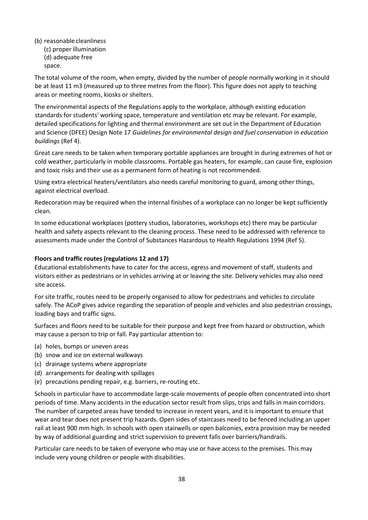- (b) reasonable cleanliness
	- (c) proper illumination (d) adequate free space.

The total volume of the room, when empty, divided by the number of people normally working in it should be at least 11 m3 (measured up to three metres from the floor). This figure does not apply to teaching areas or meeting rooms, kiosks or shelters.

The environmental aspects of the Regulations apply to the workplace, although existing education standards for students' working space, temperature and ventilation etc may be relevant. For example, detailed specifications for lighting and thermal environment are set out in the Department of Education and Science (DFEE) Design Note 17 *Guidelines for environmental design and fuel conservation in education buildings* (Ref 4).

Great care needs to be taken when temporary portable appliances are brought in during extremes of hot or cold weather, particularly in mobile classrooms. Portable gas heaters, for example, can cause fire, explosion and toxic risks and their use as a permanent form of heating is not recommended.

Using extra electrical heaters/ventilators also needs careful monitoring to guard, among other things, against electrical overload.

Redecoration may be required when the internal finishes of a workplace can no longer be kept sufficiently clean.

In some educational workplaces (pottery studios, laboratories, workshops etc) there may be particular health and safety aspects relevant to the cleaning process. These need to be addressed with reference to assessments made under the Control of Substances Hazardous to Health Regulations 1994 (Ref 5).

## **Floors and traffic routes (regulations 12 and 17)**

Educational establishments have to cater for the access, egress and movement of staff, students and visitors either as pedestrians or in vehicles arriving at or leaving the site. Delivery vehicles may also need site access.

For site traffic, routes need to be properly organised to allow for pedestrians and vehicles to circulate safely. The ACoP gives advice regarding the separation of people and vehicles and also pedestrian crossings, loading bays and traffic signs.

Surfaces and floors need to be suitable for their purpose and kept free from hazard or obstruction, which may cause a person to trip or fall. Pay particular attention to:

- (a) holes, bumps or uneven areas
- (b) snow and ice on external walkways
- (c) drainage systems where appropriate
- (d) arrangements for dealing with spillages
- (e) precautions pending repair, e.g. barriers, re-routing etc.

Schools in particular have to accommodate large-scale movements of people often concentrated into short periods of time. Many accidents in the education sector result from slips, trips and falls in main corridors. The number of carpeted areas have tended to increase in recent years, and it is important to ensure that wear and tear does not present trip hazards. Open sides of staircases need to be fenced including an upper rail at least 900 mm high. In schools with open stairwells or open balconies, extra provision may be needed by way of additional guarding and strict supervision to prevent falls over barriers/handrails.

Particular care needs to be taken of everyone who may use or have access to the premises. This may include very young children or people with disabilities.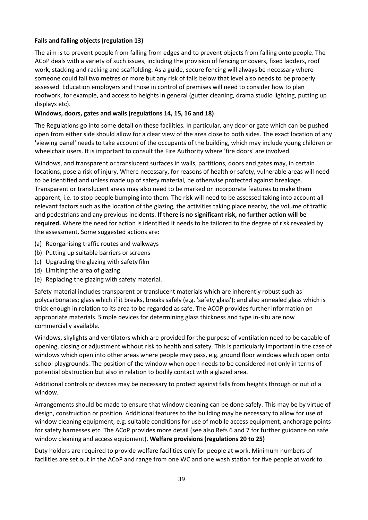#### **Falls and falling objects (regulation 13)**

The aim is to prevent people from falling from edges and to prevent objects from falling onto people. The ACoP deals with a variety of such issues, including the provision of fencing or covers, fixed ladders, roof work, stacking and racking and scaffolding. As a guide, secure fencing will always be necessary where someone could fall two metres or more but any risk of falls below that level also needs to be properly assessed. Education employers and those in control of premises will need to consider how to plan roofwork, for example, and access to heights in general (gutter cleaning, drama studio lighting, putting up displays etc).

#### **Windows, doors, gates and walls (regulations 14, 15, 16 and 18)**

The Regulations go into some detail on these facilities. In particular, any door or gate which can be pushed open from either side should allow for a clear view of the area close to both sides. The exact location of any 'viewing panel' needs to take account of the occupants of the building, which may include young children or wheelchair users. It is important to consult the Fire Authority where 'fire doors' are involved.

Windows, and transparent or translucent surfaces in walls, partitions, doors and gates may, in certain locations, pose a risk of injury. Where necessary, for reasons of health or safety, vulnerable areas will need to be identified and unless made up of safety material, be otherwise protected against breakage. Transparent or translucent areas may also need to be marked or incorporate features to make them apparent, i.e. to stop people bumping into them. The risk will need to be assessed taking into account all relevant factors such as the location of the glazing, the activities taking place nearby, the volume of traffic and pedestrians and any previous incidents. **If there is no significant risk, no further action will be required.** Where the need for action is identified it needs to be tailored to the degree of risk revealed by the assessment. Some suggested actions are:

- (a) Reorganising traffic routes and walkways
- (b) Putting up suitable barriers or screens
- (c) Upgrading the glazing with safety film
- (d) Limiting the area of glazing
- (e) Replacing the glazing with safety material.

Safety material includes transparent or translucent materials which are inherently robust such as polycarbonates; glass which if it breaks, breaks safely (e.g. 'safety glass'); and also annealed glass which is thick enough in relation to its area to be regarded as safe. The ACOP provides further information on appropriate materials. Simple devices for determining glass thickness and type in-situ are now commercially available.

Windows, skylights and ventilators which are provided for the purpose of ventilation need to be capable of opening, closing or adjustment without risk to health and safety. This is particularly important in the case of windows which open into other areas where people may pass, e.g. ground floor windows which open onto school playgrounds. The position of the window when open needs to be considered not only in terms of potential obstruction but also in relation to bodily contact with a glazed area.

Additional controls or devices may be necessary to protect against falls from heights through or out of a window.

Arrangements should be made to ensure that window cleaning can be done safely. This may be by virtue of design, construction or position. Additional features to the building may be necessary to allow for use of window cleaning equipment, e.g. suitable conditions for use of mobile access equipment, anchorage points for safety harnesses etc. The ACoP provides more detail (see also Refs 6 and 7 for further guidance on safe window cleaning and access equipment). **Welfare provisions (regulations 20 to 25)**

Duty holders are required to provide welfare facilities only for people at work. Minimum numbers of facilities are set out in the ACoP and range from one WC and one wash station for five people at work to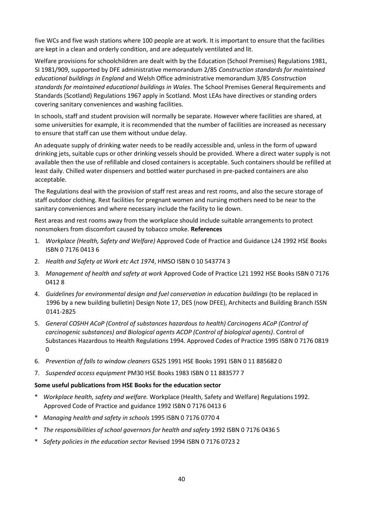five WCs and five wash stations where 100 people are at work. It is important to ensure that the facilities are kept in a clean and orderly condition, and are adequately ventilated and lit.

Welfare provisions for schoolchildren are dealt with by the Education (School Premises) Regulations 1981, SI 1981/909, supported by DFE administrative memorandum 2/85 *Construction standards for maintained educational buildings in England* and Welsh Office administrative memorandum 3/85 *Construction standards for maintained educational buildings in Wales*. The School Premises General Requirements and Standards (Scotland) Regulations 1967 apply in Scotland. Most LEAs have directives or standing orders covering sanitary conveniences and washing facilities.

In schools, staff and student provision will normally be separate. However where facilities are shared, at some universities for example, it is recommended that the number of facilities are increased as necessary to ensure that staff can use them without undue delay.

An adequate supply of drinking water needs to be readily accessible and, unless in the form of upward drinking jets, suitable cups or other drinking vessels should be provided. Where a direct water supply is not available then the use of refillable and closed containers is acceptable. Such containers should be refilled at least daily. Chilled water dispensers and bottled water purchased in pre-packed containers are also acceptable.

The Regulations deal with the provision of staff rest areas and rest rooms, and also the secure storage of staff outdoor clothing. Rest facilities for pregnant women and nursing mothers need to be near to the sanitary conveniences and where necessary include the facility to lie down.

Rest areas and rest rooms away from the workplace should include suitable arrangements to protect nonsmokers from discomfort caused by tobacco smoke. **References**

- 1. *Workplace (Health, Safety and Welfare)* Approved Code of Practice and Guidance L24 1992 HSE Books ISBN 0 7176 0413 6
- 2. *Health and Safety at Work etc Act 1974*, HMSO ISBN 0 10 543774 3
- 3. *Management of health and safety at work* Approved Code of Practice L21 1992 HSE Books ISBN 0 7176 0412 8
- 4. *Guidelines for environmental design and fuel conservation in education buildings* (to be replaced in 1996 by a new building bulletin) Design Note 17, DES (now DFEE), Architects and Building Branch ISSN 0141-2825
- 5. *General COSHH ACoP (Control of substances hazardous to health) Carcinogens ACoP (Control of carcinogenic substances) and Biological agents ACOP (Control of biological agents)*. Control of Substances Hazardous to Health Regulations 1994. Approved Codes of Practice 1995 ISBN 0 7176 0819  $\Omega$
- 6. *Prevention of falls to window cleaners* GS25 1991 HSE Books 1991 ISBN 0 11 885682 0
- 7. *Suspended access equipment* PM30 HSE Books 1983 ISBN 0 11 883577 7

#### **Some useful publications from HSE Books for the education sector**

- \* *Workplace health, safety and welfare.* Workplace (Health, Safety and Welfare) Regulations 1992. Approved Code of Practice and guidance 1992 ISBN 0 7176 0413 6
- \* *Managing health and safety in schools* 1995 ISBN 0 7176 0770 4
- \* *The responsibilities of school governors for health and safety* 1992 ISBN 0 7176 0436 5
- \* *Safety policies in the education sector* Revised 1994 ISBN 0 7176 0723 2